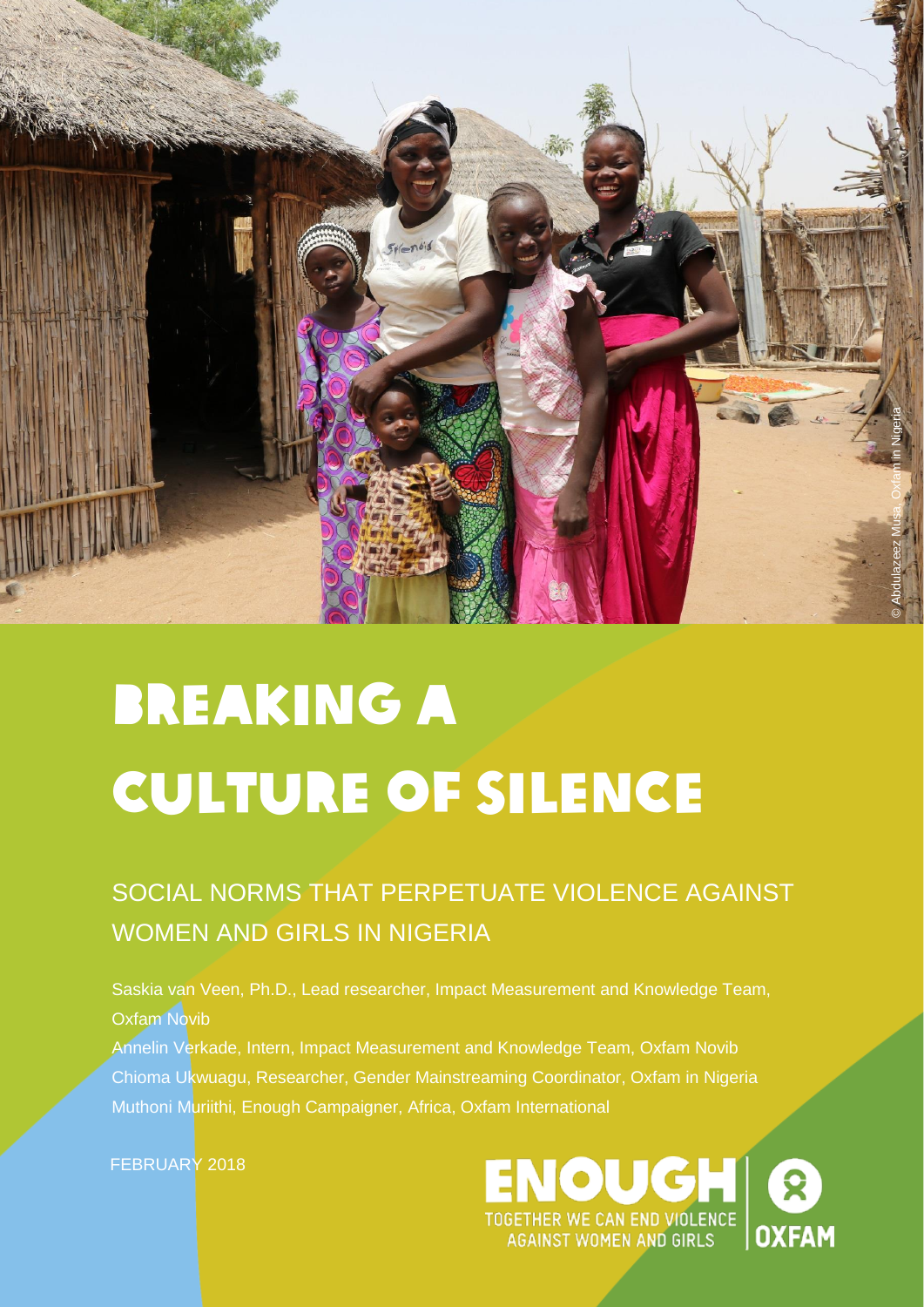

# Breaking a culture of silence

### SOCIAL NORMS THAT PERPETUATE VIOLENCE AGAINST WOMEN AND GIRLS IN NIGERIA

Saskia van Veen, Ph.D., Lead researcher, Impact Measurement and Knowledge Team, Oxfam Novib

Annelin Verkade, Intern, Impact Measurement and Knowledge Team, Oxfam Novib Chioma Ukwuagu, Researcher, Gender Mainstreaming Coordinator, Oxfam in Nigeria Muthoni Muriithi, Enough Campaigner, Africa, Oxfam International

FEBRUARY 2018

NOUGH TOGETHER WE CAN END VIOLENCE<br>AGAINST WOMEN AND GIRLS **OXFAM**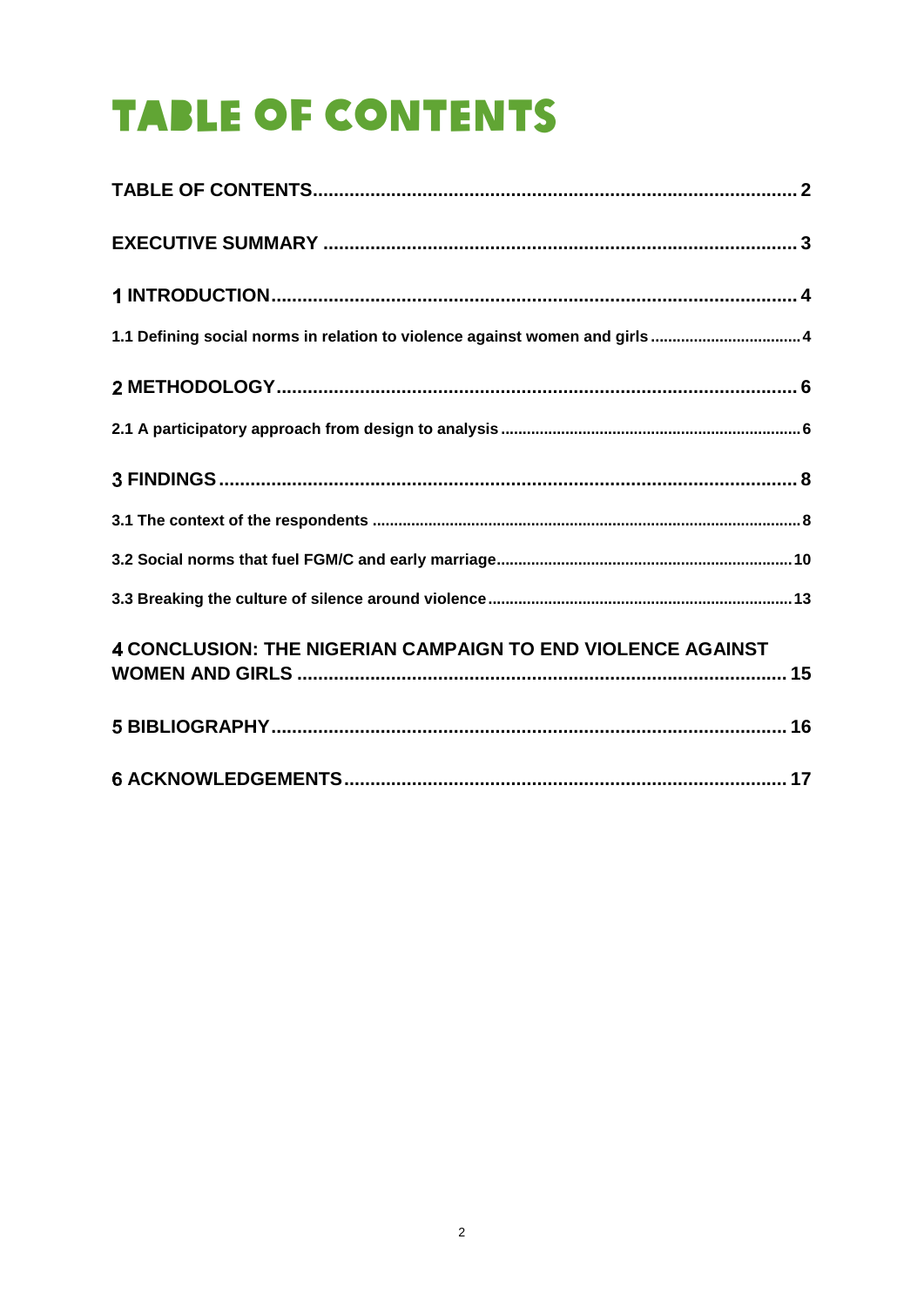### <span id="page-1-0"></span>**TABLE OF CONTENTS**

| 1.1 Defining social norms in relation to violence against women and girls  4 |  |
|------------------------------------------------------------------------------|--|
|                                                                              |  |
|                                                                              |  |
|                                                                              |  |
|                                                                              |  |
|                                                                              |  |
|                                                                              |  |
| 4 CONCLUSION: THE NIGERIAN CAMPAIGN TO END VIOLENCE AGAINST                  |  |
|                                                                              |  |
|                                                                              |  |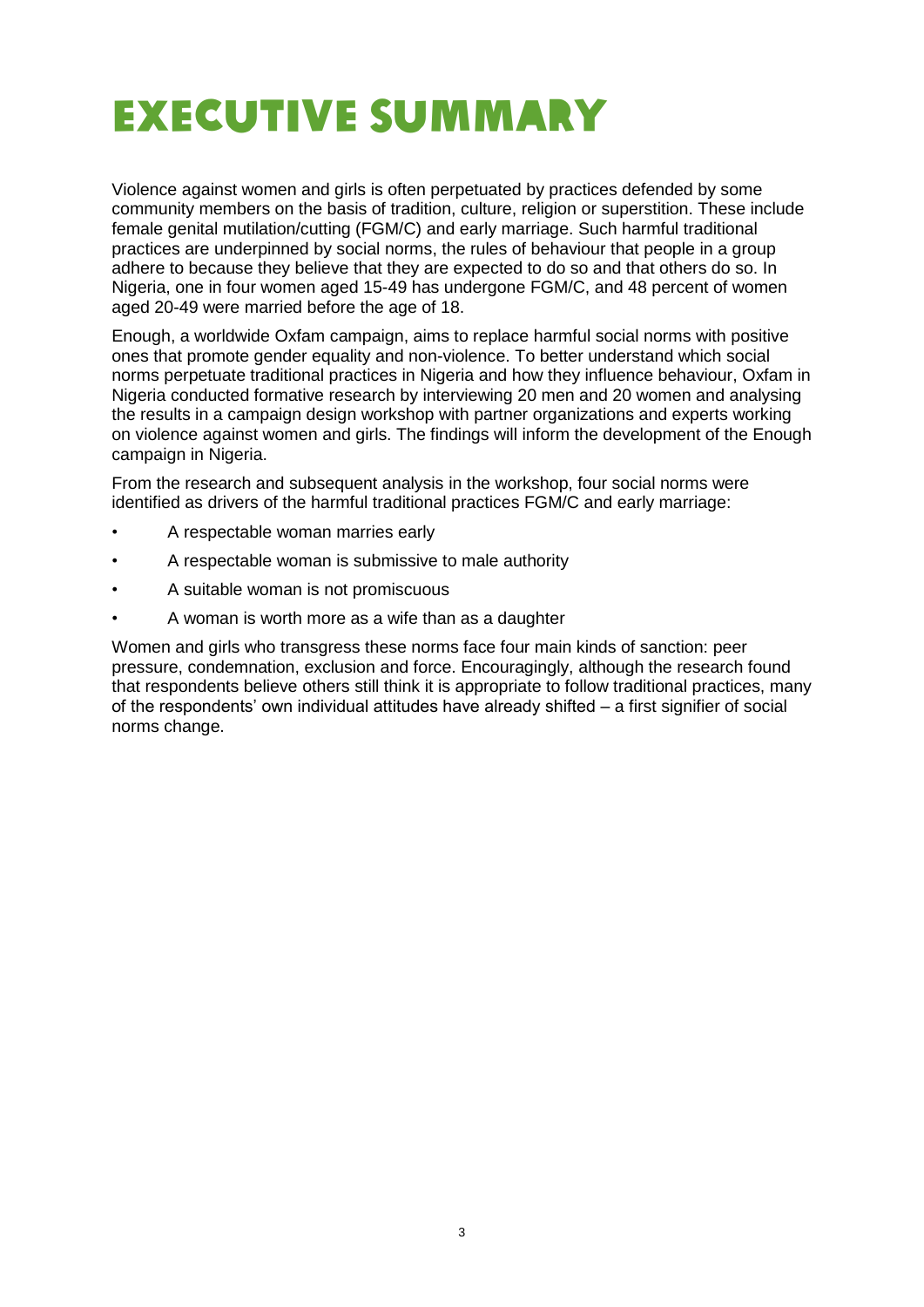### <span id="page-2-0"></span>EXECUTIVE SUMMARY

Violence against women and girls is often perpetuated by practices defended by some community members on the basis of tradition, culture, religion or superstition. These include female genital mutilation/cutting (FGM/C) and early marriage. Such harmful traditional practices are underpinned by social norms, the rules of behaviour that people in a group adhere to because they believe that they are expected to do so and that others do so. In Nigeria, one in four women aged 15-49 has undergone FGM/C, and 48 percent of women aged 20-49 were married before the age of 18.

Enough, a worldwide Oxfam campaign, aims to replace harmful social norms with positive ones that promote gender equality and non-violence. To better understand which social norms perpetuate traditional practices in Nigeria and how they influence behaviour, Oxfam in Nigeria conducted formative research by interviewing 20 men and 20 women and analysing the results in a campaign design workshop with partner organizations and experts working on violence against women and girls. The findings will inform the development of the Enough campaign in Nigeria.

From the research and subsequent analysis in the workshop, four social norms were identified as drivers of the harmful traditional practices FGM/C and early marriage:

- A respectable woman marries early
- A respectable woman is submissive to male authority
- A suitable woman is not promiscuous
- A woman is worth more as a wife than as a daughter

Women and girls who transgress these norms face four main kinds of sanction: peer pressure, condemnation, exclusion and force. Encouragingly, although the research found that respondents believe others still think it is appropriate to follow traditional practices, many of the respondents' own individual attitudes have already shifted – a first signifier of social norms change.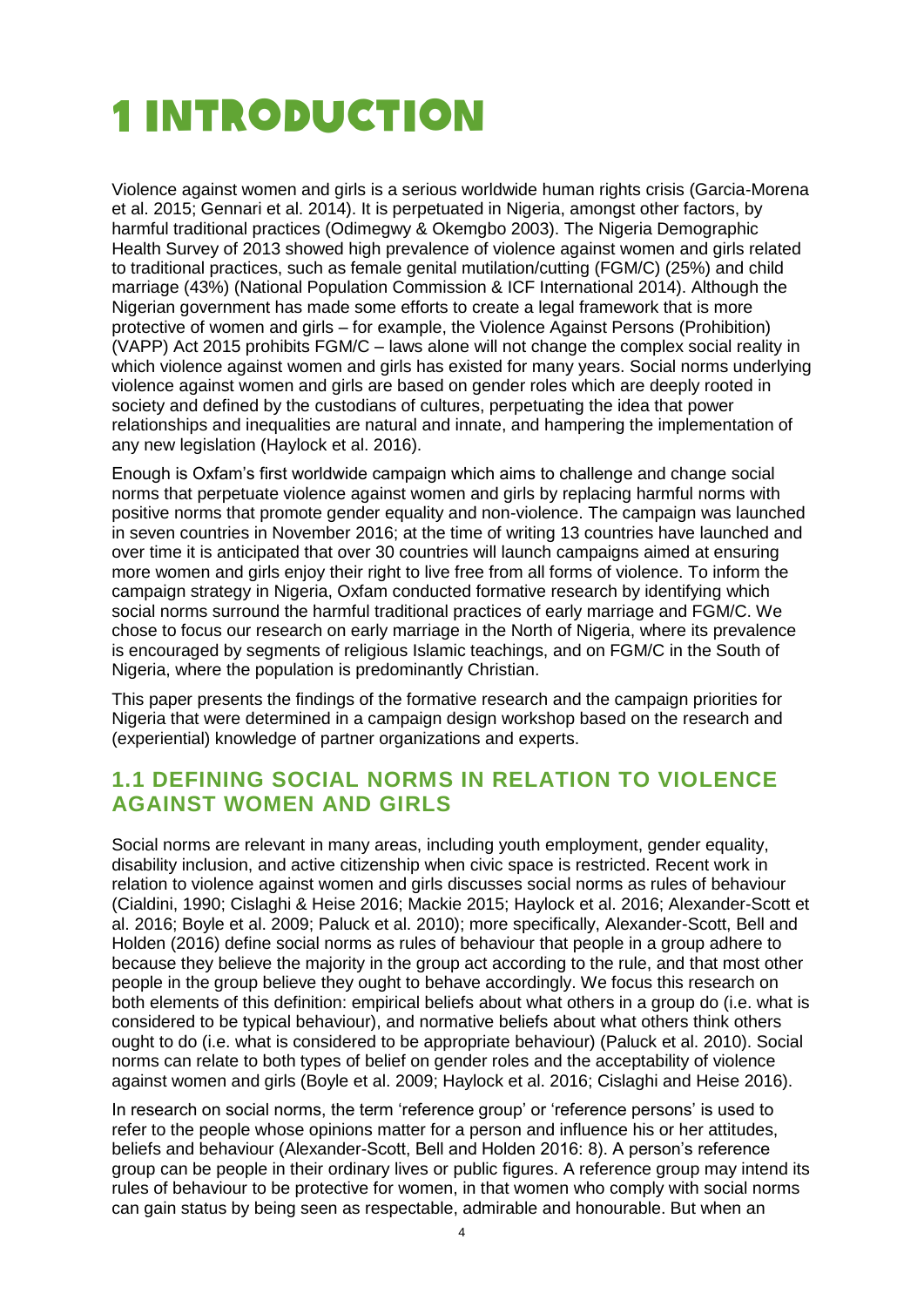### <span id="page-3-0"></span>**1 INTRODUCTION**

Violence against women and girls is a serious worldwide human rights crisis (Garcia-Morena et al. 2015; Gennari et al. 2014). It is perpetuated in Nigeria, amongst other factors, by harmful traditional practices (Odimegwy & Okemgbo 2003). The Nigeria Demographic Health Survey of 2013 showed high prevalence of violence against women and girls related to traditional practices, such as female genital mutilation/cutting (FGM/C) (25%) and child marriage (43%) (National Population Commission & ICF International 2014). Although the Nigerian government has made some efforts to create a legal framework that is more protective of women and girls – for example, the Violence Against Persons (Prohibition) (VAPP) Act 2015 prohibits FGM/C – laws alone will not change the complex social reality in which violence against women and girls has existed for many years. Social norms underlying violence against women and girls are based on gender roles which are deeply rooted in society and defined by the custodians of cultures, perpetuating the idea that power relationships and inequalities are natural and innate, and hampering the implementation of any new legislation (Haylock et al. 2016).

Enough is Oxfam's first worldwide campaign which aims to challenge and change social norms that perpetuate violence against women and girls by replacing harmful norms with positive norms that promote gender equality and non-violence. The campaign was launched in seven countries in November 2016; at the time of writing 13 countries have launched and over time it is anticipated that over 30 countries will launch campaigns aimed at ensuring more women and girls enjoy their right to live free from all forms of violence. To inform the campaign strategy in Nigeria, Oxfam conducted formative research by identifying which social norms surround the harmful traditional practices of early marriage and FGM/C. We chose to focus our research on early marriage in the North of Nigeria, where its prevalence is encouraged by segments of religious Islamic teachings, and on FGM/C in the South of Nigeria, where the population is predominantly Christian.

This paper presents the findings of the formative research and the campaign priorities for Nigeria that were determined in a campaign design workshop based on the research and (experiential) knowledge of partner organizations and experts.

#### <span id="page-3-1"></span>**1.1 DEFINING SOCIAL NORMS IN RELATION TO VIOLENCE AGAINST WOMEN AND GIRLS**

Social norms are relevant in many areas, including youth employment, gender equality, disability inclusion, and active citizenship when civic space is restricted. Recent work in relation to violence against women and girls discusses social norms as rules of behaviour (Cialdini, 1990; Cislaghi & Heise 2016; Mackie 2015; Haylock et al. 2016; Alexander-Scott et al. 2016; Boyle et al. 2009; Paluck et al. 2010); more specifically, Alexander-Scott, Bell and Holden (2016) define social norms as rules of behaviour that people in a group adhere to because they believe the majority in the group act according to the rule, and that most other people in the group believe they ought to behave accordingly. We focus this research on both elements of this definition: empirical beliefs about what others in a group do (i.e. what is considered to be typical behaviour), and normative beliefs about what others think others ought to do (i.e. what is considered to be appropriate behaviour) (Paluck et al. 2010). Social norms can relate to both types of belief on gender roles and the acceptability of violence against women and girls (Boyle et al. 2009; Haylock et al. 2016; Cislaghi and Heise 2016).

In research on social norms, the term 'reference group' or 'reference persons' is used to refer to the people whose opinions matter for a person and influence his or her attitudes, beliefs and behaviour (Alexander-Scott, Bell and Holden 2016: 8). A person's reference group can be people in their ordinary lives or public figures. A reference group may intend its rules of behaviour to be protective for women, in that women who comply with social norms can gain status by being seen as respectable, admirable and honourable. But when an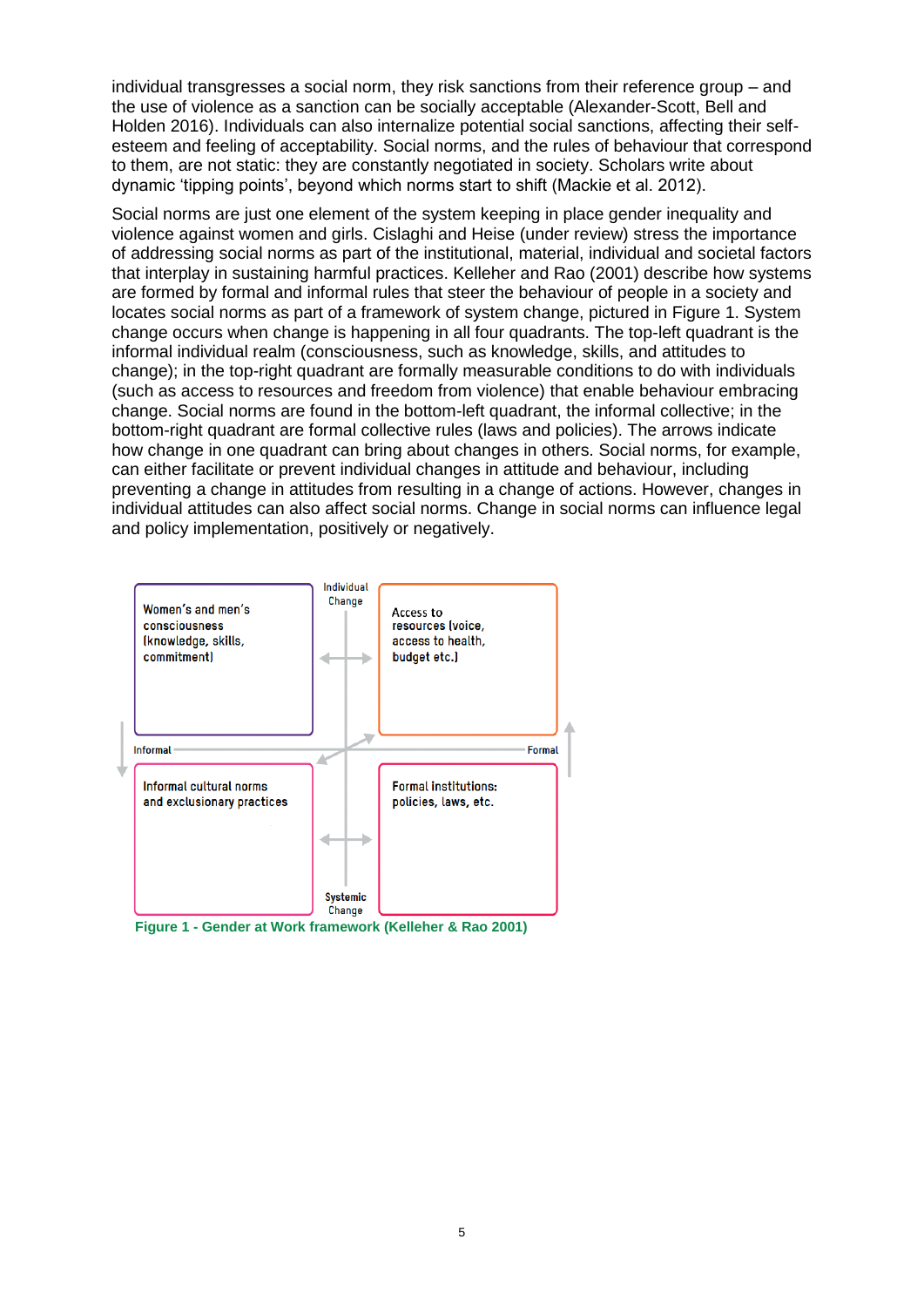individual transgresses a social norm, they risk sanctions from their reference group – and the use of violence as a sanction can be socially acceptable (Alexander-Scott, Bell and Holden 2016). Individuals can also internalize potential social sanctions, affecting their selfesteem and feeling of acceptability. Social norms, and the rules of behaviour that correspond to them, are not static: they are constantly negotiated in society. Scholars write about dynamic 'tipping points', beyond which norms start to shift (Mackie et al. 2012).

Social norms are just one element of the system keeping in place gender inequality and violence against women and girls. Cislaghi and Heise (under review) stress the importance of addressing social norms as part of the institutional, material, individual and societal factors that interplay in sustaining harmful practices. Kelleher and Rao (2001) describe how systems are formed by formal and informal rules that steer the behaviour of people in a society and locates social norms as part of a framework of system change, pictured in Figure 1. System change occurs when change is happening in all four quadrants. The top-left quadrant is the informal individual realm (consciousness, such as knowledge, skills, and attitudes to change); in the top-right quadrant are formally measurable conditions to do with individuals (such as access to resources and freedom from violence) that enable behaviour embracing change. Social norms are found in the bottom-left quadrant, the informal collective; in the bottom-right quadrant are formal collective rules (laws and policies). The arrows indicate how change in one quadrant can bring about changes in others. Social norms, for example, can either facilitate or prevent individual changes in attitude and behaviour, including preventing a change in attitudes from resulting in a change of actions. However, changes in individual attitudes can also affect social norms. Change in social norms can influence legal and policy implementation, positively or negatively.



**Figure 1 - Gender at Work framework (Kelleher & Rao 2001)**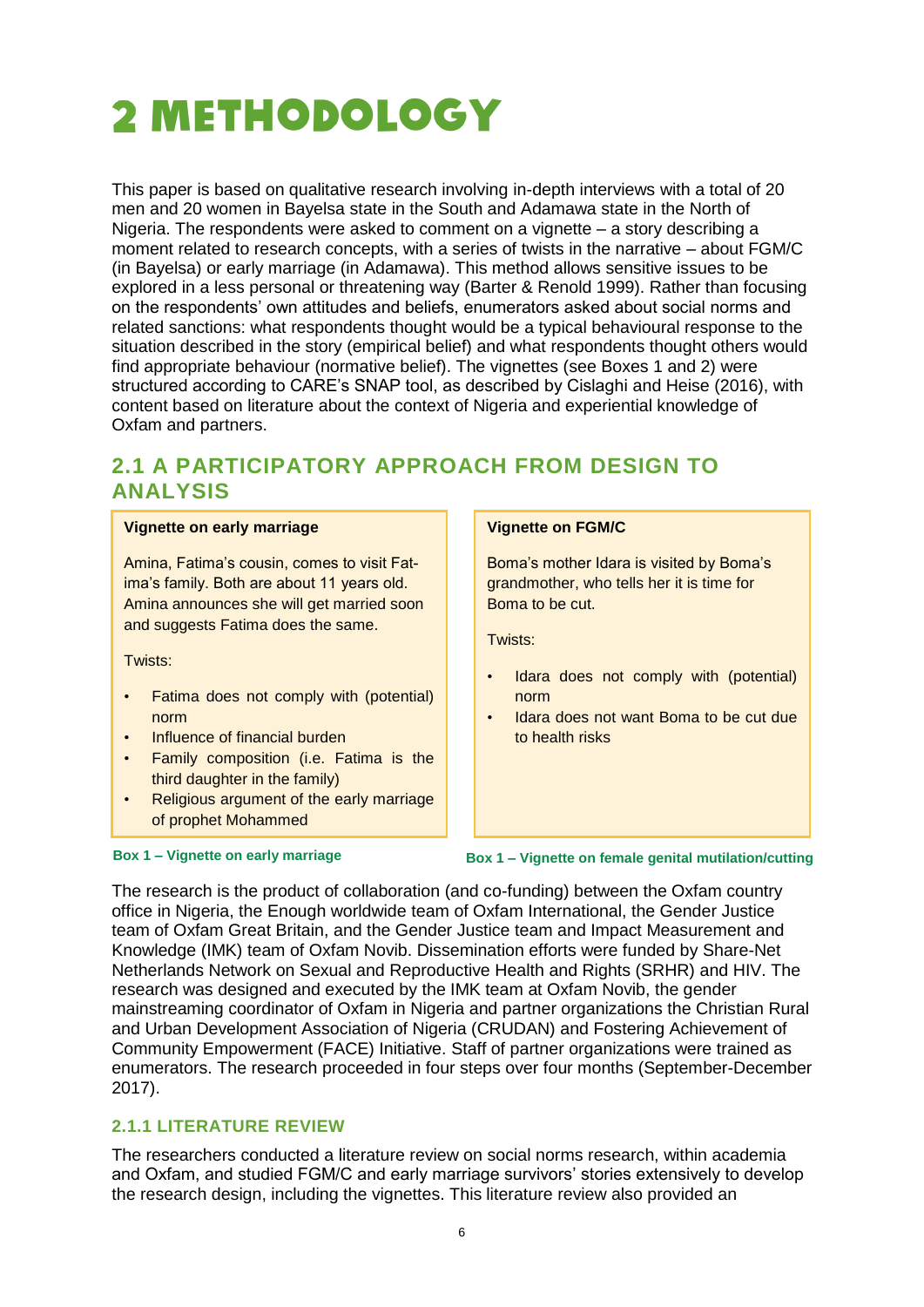### <span id="page-5-0"></span>METHODOLOGY

This paper is based on qualitative research involving in-depth interviews with a total of 20 men and 20 women in Bayelsa state in the South and Adamawa state in the North of Nigeria. The respondents were asked to comment on a vignette – a story describing a moment related to research concepts, with a series of twists in the narrative – about FGM/C (in Bayelsa) or early marriage (in Adamawa). This method allows sensitive issues to be explored in a less personal or threatening way (Barter & Renold 1999). Rather than focusing on the respondents' own attitudes and beliefs, enumerators asked about social norms and related sanctions: what respondents thought would be a typical behavioural response to the situation described in the story (empirical belief) and what respondents thought others would find appropriate behaviour (normative belief). The vignettes (see Boxes 1 and 2) were structured according to CARE's SNAP tool, as described by Cislaghi and Heise (2016), with content based on literature about the context of Nigeria and experiential knowledge of Oxfam and partners.

#### <span id="page-5-1"></span>**2.1 A PARTICIPATORY APPROACH FROM DESIGN TO ANALYSIS**

#### **Vignette on early marriage**

Amina, Fatima's cousin, comes to visit Fatima's family. Both are about 11 years old. Amina announces she will get married soon and suggests Fatima does the same.

Twists:

- Fatima does not comply with (potential) norm
- Influence of financial burden
- Family composition (i.e. Fatima is the third daughter in the family)
- Religious argument of the early marriage of prophet Mohammed

#### **Vignette on FGM/C**

Boma's mother Idara is visited by Boma's grandmother, who tells her it is time for Boma to be cut.

Twists:

- Idara does not comply with (potential) norm
- Idara does not want Boma to be cut due to health risks

**Box 1 – Vignette on early marriage Box 1 – Vignette on female genital mutilation/cutting**

The research is the product of collaboration (and co-funding) between the Oxfam country office in Nigeria, the Enough worldwide team of Oxfam International, the Gender Justice team of Oxfam Great Britain, and the Gender Justice team and Impact Measurement and Knowledge (IMK) team of Oxfam Novib. Dissemination efforts were funded by Share-Net Netherlands Network on Sexual and Reproductive Health and Rights (SRHR) and HIV. The research was designed and executed by the IMK team at Oxfam Novib, the gender mainstreaming coordinator of Oxfam in Nigeria and partner organizations the Christian Rural and Urban Development Association of Nigeria (CRUDAN) and Fostering Achievement of Community Empowerment (FACE) Initiative. Staff of partner organizations were trained as enumerators. The research proceeded in four steps over four months (September-December 2017).

#### **2.1.1 LITERATURE REVIEW**

The researchers conducted a literature review on social norms research, within academia and Oxfam, and studied FGM/C and early marriage survivors' stories extensively to develop the research design, including the vignettes. This literature review also provided an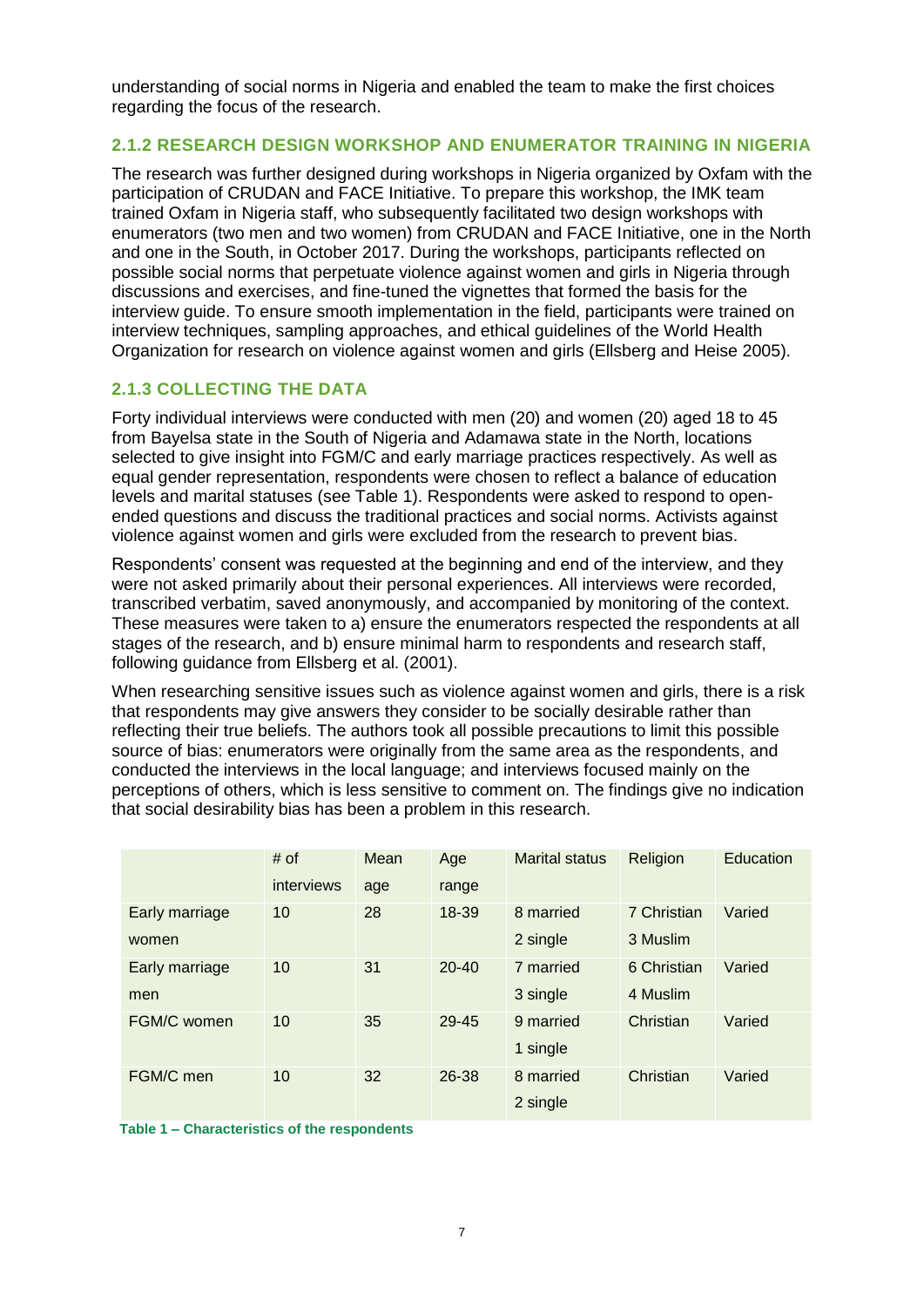understanding of social norms in Nigeria and enabled the team to make the first choices regarding the focus of the research.

#### **2.1.2 RESEARCH DESIGN WORKSHOP AND ENUMERATOR TRAINING IN NIGERIA**

The research was further designed during workshops in Nigeria organized by Oxfam with the participation of CRUDAN and FACE Initiative. To prepare this workshop, the IMK team trained Oxfam in Nigeria staff, who subsequently facilitated two design workshops with enumerators (two men and two women) from CRUDAN and FACE Initiative, one in the North and one in the South, in October 2017. During the workshops, participants reflected on possible social norms that perpetuate violence against women and girls in Nigeria through discussions and exercises, and fine-tuned the vignettes that formed the basis for the interview guide. To ensure smooth implementation in the field, participants were trained on interview techniques, sampling approaches, and ethical guidelines of the World Health Organization for research on violence against women and girls (Ellsberg and Heise 2005).

#### **2.1.3 COLLECTING THE DATA**

Forty individual interviews were conducted with men (20) and women (20) aged 18 to 45 from Bayelsa state in the South of Nigeria and Adamawa state in the North, locations selected to give insight into FGM/C and early marriage practices respectively. As well as equal gender representation, respondents were chosen to reflect a balance of education levels and marital statuses (see Table 1). Respondents were asked to respond to openended questions and discuss the traditional practices and social norms. Activists against violence against women and girls were excluded from the research to prevent bias.

Respondents' consent was requested at the beginning and end of the interview, and they were not asked primarily about their personal experiences. All interviews were recorded, transcribed verbatim, saved anonymously, and accompanied by monitoring of the context. These measures were taken to a) ensure the enumerators respected the respondents at all stages of the research, and b) ensure minimal harm to respondents and research staff, following guidance from Ellsberg et al. (2001).

When researching sensitive issues such as violence against women and girls, there is a risk that respondents may give answers they consider to be socially desirable rather than reflecting their true beliefs. The authors took all possible precautions to limit this possible source of bias: enumerators were originally from the same area as the respondents, and conducted the interviews in the local language; and interviews focused mainly on the perceptions of others, which is less sensitive to comment on. The findings give no indication that social desirability bias has been a problem in this research.

|                | # of       | Mean | Age       | <b>Marital status</b> | Religion    | Education |
|----------------|------------|------|-----------|-----------------------|-------------|-----------|
|                | interviews | age  | range     |                       |             |           |
| Early marriage | 10         | 28   | 18-39     | 8 married             | 7 Christian | Varied    |
| women          |            |      |           | 2 single              | 3 Muslim    |           |
| Early marriage | 10         | 31   | $20 - 40$ | 7 married             | 6 Christian | Varied    |
| men            |            |      |           | 3 single              | 4 Muslim    |           |
| FGM/C women    | 10         | 35   | 29-45     | 9 married             | Christian   | Varied    |
|                |            |      |           | 1 single              |             |           |
| FGM/C men      | 10         | 32   | 26-38     | 8 married             | Christian   | Varied    |
|                |            |      |           | 2 single              |             |           |

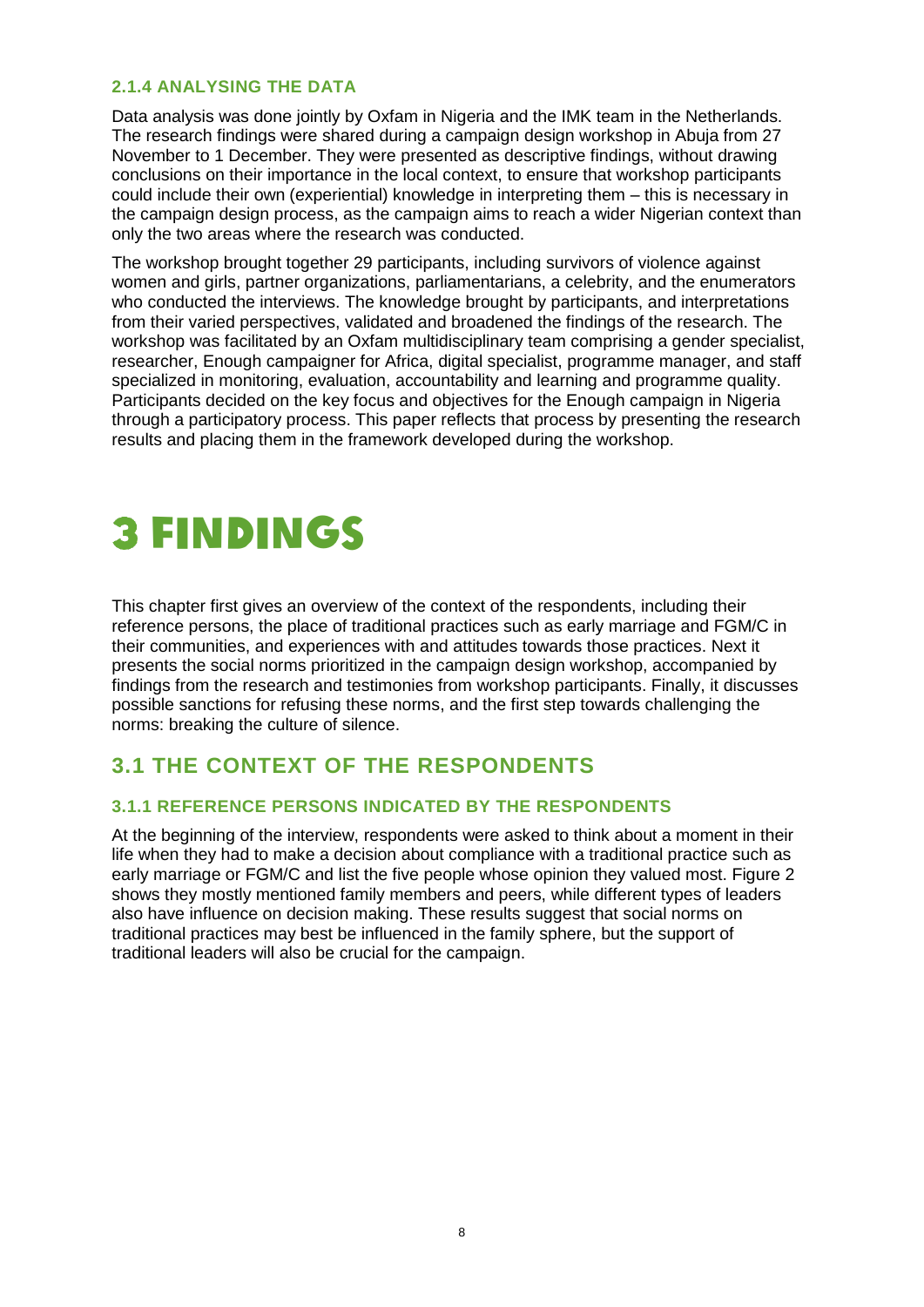#### **2.1.4 ANALYSING THE DATA**

Data analysis was done jointly by Oxfam in Nigeria and the IMK team in the Netherlands. The research findings were shared during a campaign design workshop in Abuja from 27 November to 1 December. They were presented as descriptive findings, without drawing conclusions on their importance in the local context, to ensure that workshop participants could include their own (experiential) knowledge in interpreting them – this is necessary in the campaign design process, as the campaign aims to reach a wider Nigerian context than only the two areas where the research was conducted.

The workshop brought together 29 participants, including survivors of violence against women and girls, partner organizations, parliamentarians, a celebrity, and the enumerators who conducted the interviews. The knowledge brought by participants, and interpretations from their varied perspectives, validated and broadened the findings of the research. The workshop was facilitated by an Oxfam multidisciplinary team comprising a gender specialist, researcher, Enough campaigner for Africa, digital specialist, programme manager, and staff specialized in monitoring, evaluation, accountability and learning and programme quality. Participants decided on the key focus and objectives for the Enough campaign in Nigeria through a participatory process. This paper reflects that process by presenting the research results and placing them in the framework developed during the workshop.

### <span id="page-7-0"></span>FINDINGS

This chapter first gives an overview of the context of the respondents, including their reference persons, the place of traditional practices such as early marriage and FGM/C in their communities, and experiences with and attitudes towards those practices. Next it presents the social norms prioritized in the campaign design workshop, accompanied by findings from the research and testimonies from workshop participants. Finally, it discusses possible sanctions for refusing these norms, and the first step towards challenging the norms: breaking the culture of silence.

#### <span id="page-7-1"></span>**3.1 THE CONTEXT OF THE RESPONDENTS**

#### **3.1.1 REFERENCE PERSONS INDICATED BY THE RESPONDENTS**

At the beginning of the interview, respondents were asked to think about a moment in their life when they had to make a decision about compliance with a traditional practice such as early marriage or FGM/C and list the five people whose opinion they valued most. Figure 2 shows they mostly mentioned family members and peers, while different types of leaders also have influence on decision making. These results suggest that social norms on traditional practices may best be influenced in the family sphere, but the support of traditional leaders will also be crucial for the campaign.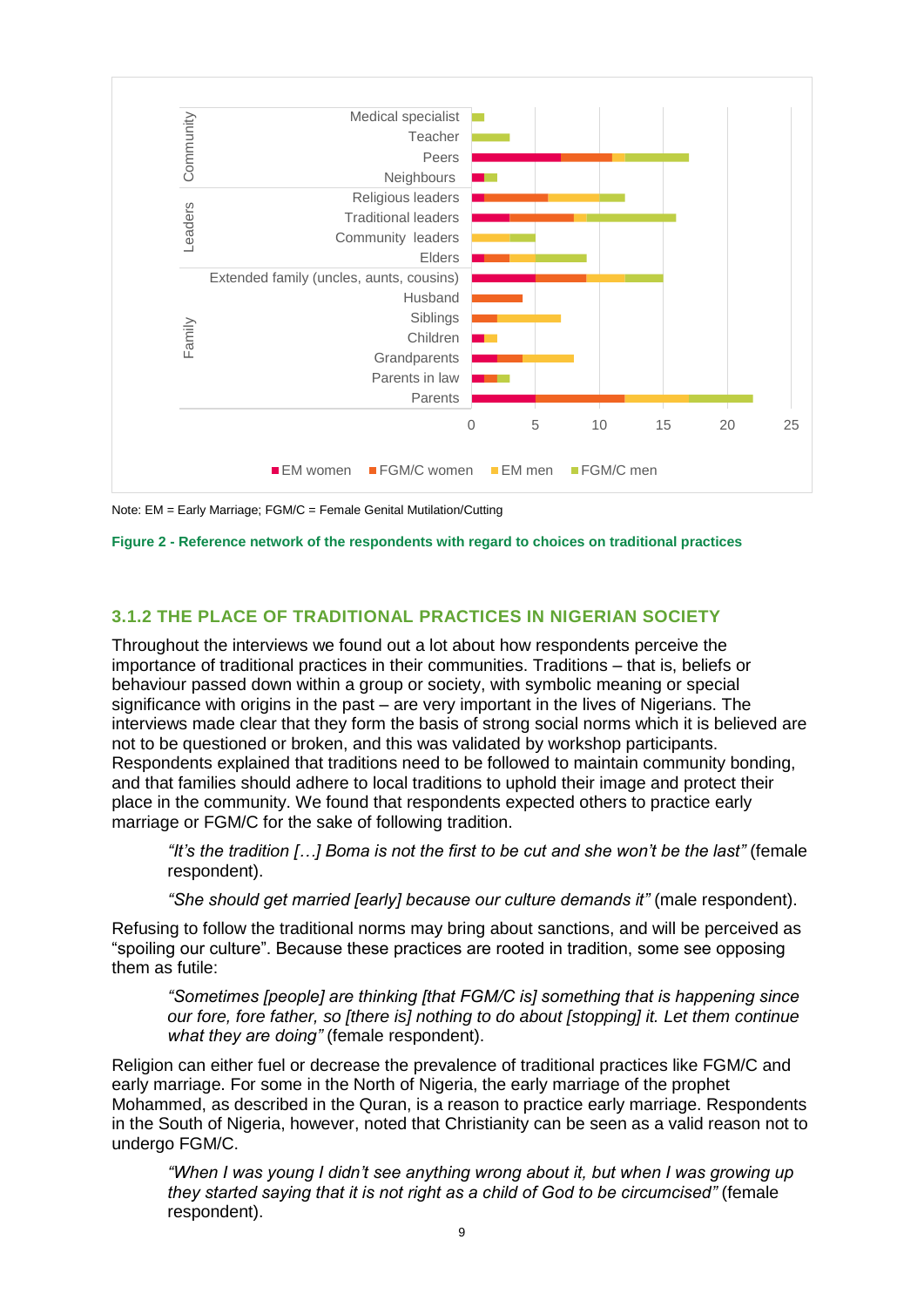

Note: EM = Early Marriage; FGM/C = Female Genital Mutilation/Cutting

**Figure 2 - Reference network of the respondents with regard to choices on traditional practices**

#### **3.1.2 THE PLACE OF TRADITIONAL PRACTICES IN NIGERIAN SOCIETY**

Throughout the interviews we found out a lot about how respondents perceive the importance of traditional practices in their communities. Traditions – that is, beliefs or behaviour passed down within a group or society, with symbolic meaning or special significance with origins in the past – are very important in the lives of Nigerians. The interviews made clear that they form the basis of strong social norms which it is believed are not to be questioned or broken, and this was validated by workshop participants. Respondents explained that traditions need to be followed to maintain community bonding, and that families should adhere to local traditions to uphold their image and protect their place in the community. We found that respondents expected others to practice early marriage or FGM/C for the sake of following tradition.

*"It's the tradition […] Boma is not the first to be cut and she won't be the last"* (female respondent).

*"She should get married [early] because our culture demands it"* (male respondent).

Refusing to follow the traditional norms may bring about sanctions, and will be perceived as "spoiling our culture". Because these practices are rooted in tradition, some see opposing them as futile:

*"Sometimes [people] are thinking [that FGM/C is] something that is happening since our fore, fore father, so [there is] nothing to do about [stopping] it. Let them continue what they are doing"* (female respondent).

Religion can either fuel or decrease the prevalence of traditional practices like FGM/C and early marriage. For some in the North of Nigeria, the early marriage of the prophet Mohammed, as described in the Quran, is a reason to practice early marriage. Respondents in the South of Nigeria, however, noted that Christianity can be seen as a valid reason not to undergo FGM/C.

*"When I was young I didn't see anything wrong about it, but when I was growing up they started saying that it is not right as a child of God to be circumcised"* (female respondent).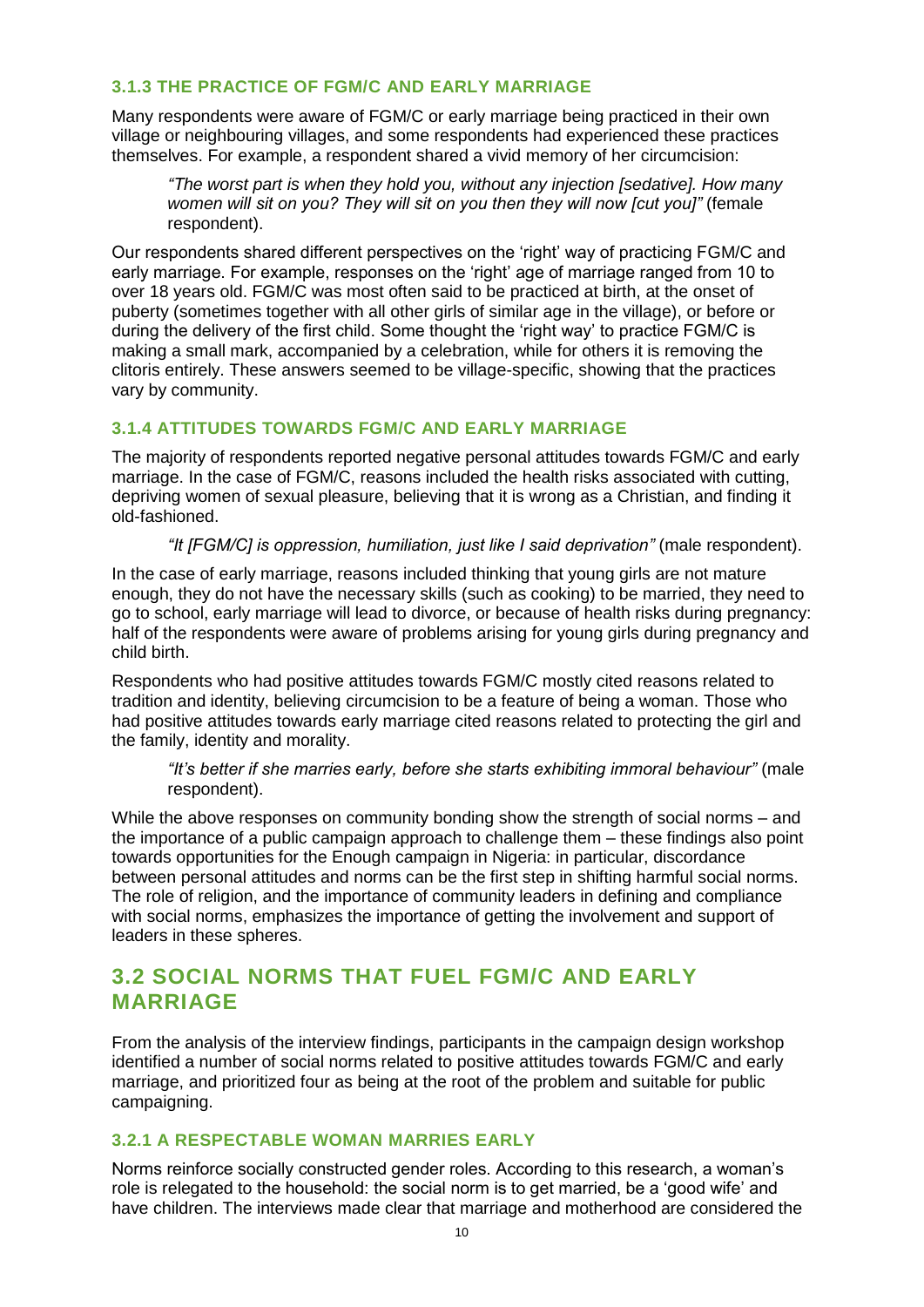#### **3.1.3 THE PRACTICE OF FGM/C AND EARLY MARRIAGE**

Many respondents were aware of FGM/C or early marriage being practiced in their own village or neighbouring villages, and some respondents had experienced these practices themselves. For example, a respondent shared a vivid memory of her circumcision:

*"The worst part is when they hold you, without any injection [sedative]. How many women will sit on you? They will sit on you then they will now [cut you]"* (female respondent).

Our respondents shared different perspectives on the 'right' way of practicing FGM/C and early marriage. For example, responses on the 'right' age of marriage ranged from 10 to over 18 years old. FGM/C was most often said to be practiced at birth, at the onset of puberty (sometimes together with all other girls of similar age in the village), or before or during the delivery of the first child. Some thought the 'right way' to practice FGM/C is making a small mark, accompanied by a celebration, while for others it is removing the clitoris entirely. These answers seemed to be village-specific, showing that the practices vary by community.

#### **3.1.4 ATTITUDES TOWARDS FGM/C AND EARLY MARRIAGE**

The majority of respondents reported negative personal attitudes towards FGM/C and early marriage. In the case of FGM/C, reasons included the health risks associated with cutting, depriving women of sexual pleasure, believing that it is wrong as a Christian, and finding it old-fashioned.

*"It [FGM/C] is oppression, humiliation, just like I said deprivation"* (male respondent).

In the case of early marriage, reasons included thinking that young girls are not mature enough, they do not have the necessary skills (such as cooking) to be married, they need to go to school, early marriage will lead to divorce, or because of health risks during pregnancy: half of the respondents were aware of problems arising for young girls during pregnancy and child birth.

Respondents who had positive attitudes towards FGM/C mostly cited reasons related to tradition and identity, believing circumcision to be a feature of being a woman. Those who had positive attitudes towards early marriage cited reasons related to protecting the girl and the family, identity and morality.

*"It's better if she marries early, before she starts exhibiting immoral behaviour"* (male respondent).

While the above responses on community bonding show the strength of social norms – and the importance of a public campaign approach to challenge them – these findings also point towards opportunities for the Enough campaign in Nigeria: in particular, discordance between personal attitudes and norms can be the first step in shifting harmful social norms. The role of religion, and the importance of community leaders in defining and compliance with social norms, emphasizes the importance of getting the involvement and support of leaders in these spheres.

#### <span id="page-9-0"></span>**3.2 SOCIAL NORMS THAT FUEL FGM/C AND EARLY MARRIAGE**

From the analysis of the interview findings, participants in the campaign design workshop identified a number of social norms related to positive attitudes towards FGM/C and early marriage, and prioritized four as being at the root of the problem and suitable for public campaigning.

#### **3.2.1 A RESPECTABLE WOMAN MARRIES EARLY**

Norms reinforce socially constructed gender roles. According to this research, a woman's role is relegated to the household: the social norm is to get married, be a 'good wife' and have children. The interviews made clear that marriage and motherhood are considered the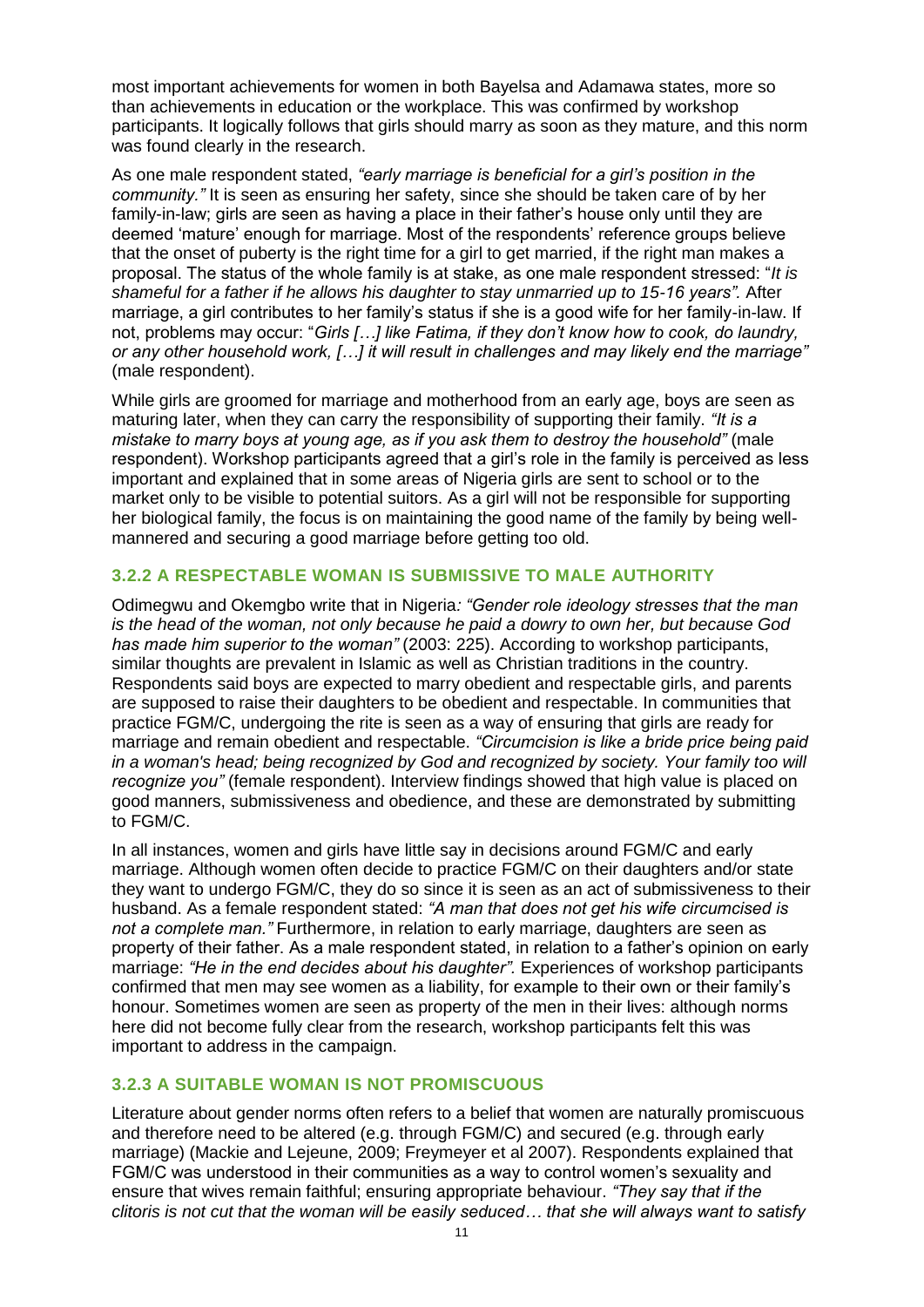most important achievements for women in both Bayelsa and Adamawa states, more so than achievements in education or the workplace. This was confirmed by workshop participants. It logically follows that girls should marry as soon as they mature, and this norm was found clearly in the research.

As one male respondent stated, *"early marriage is beneficial for a girl's position in the community."* It is seen as ensuring her safety, since she should be taken care of by her family-in-law; girls are seen as having a place in their father's house only until they are deemed 'mature' enough for marriage. Most of the respondents' reference groups believe that the onset of puberty is the right time for a girl to get married, if the right man makes a proposal. The status of the whole family is at stake, as one male respondent stressed: "*It is shameful for a father if he allows his daughter to stay unmarried up to 15-16 years".* After marriage, a girl contributes to her family's status if she is a good wife for her family-in-law. If not, problems may occur: "*Girls […] like Fatima, if they don't know how to cook, do laundry, or any other household work, […] it will result in challenges and may likely end the marriage"*  (male respondent).

While girls are groomed for marriage and motherhood from an early age, boys are seen as maturing later, when they can carry the responsibility of supporting their family. *"It is a mistake to marry boys at young age, as if you ask them to destroy the household"* (male respondent). Workshop participants agreed that a girl's role in the family is perceived as less important and explained that in some areas of Nigeria girls are sent to school or to the market only to be visible to potential suitors. As a girl will not be responsible for supporting her biological family, the focus is on maintaining the good name of the family by being wellmannered and securing a good marriage before getting too old.

#### **3.2.2 A RESPECTABLE WOMAN IS SUBMISSIVE TO MALE AUTHORITY**

Odimegwu and Okemgbo write that in Nigeria*: "Gender role ideology stresses that the man is the head of the woman, not only because he paid a dowry to own her, but because God has made him superior to the woman"* (2003: 225). According to workshop participants, similar thoughts are prevalent in Islamic as well as Christian traditions in the country. Respondents said boys are expected to marry obedient and respectable girls, and parents are supposed to raise their daughters to be obedient and respectable. In communities that practice FGM/C, undergoing the rite is seen as a way of ensuring that girls are ready for marriage and remain obedient and respectable. *"Circumcision is like a bride price being paid in a woman's head; being recognized by God and recognized by society. Your family too will recognize you"* (female respondent). Interview findings showed that high value is placed on good manners, submissiveness and obedience, and these are demonstrated by submitting to FGM/C.

In all instances, women and girls have little say in decisions around FGM/C and early marriage. Although women often decide to practice FGM/C on their daughters and/or state they want to undergo FGM/C, they do so since it is seen as an act of submissiveness to their husband. As a female respondent stated: *"A man that does not get his wife circumcised is not a complete man."* Furthermore, in relation to early marriage, daughters are seen as property of their father. As a male respondent stated, in relation to a father's opinion on early marriage: *"He in the end decides about his daughter".* Experiences of workshop participants confirmed that men may see women as a liability, for example to their own or their family's honour. Sometimes women are seen as property of the men in their lives: although norms here did not become fully clear from the research, workshop participants felt this was important to address in the campaign.

#### **3.2.3 A SUITABLE WOMAN IS NOT PROMISCUOUS**

Literature about gender norms often refers to a belief that women are naturally promiscuous and therefore need to be altered (e.g. through FGM/C) and secured (e.g. through early marriage) (Mackie and Lejeune, 2009; Freymeyer et al 2007). Respondents explained that FGM/C was understood in their communities as a way to control women's sexuality and ensure that wives remain faithful; ensuring appropriate behaviour. *"They say that if the clitoris is not cut that the woman will be easily seduced… that she will always want to satisfy*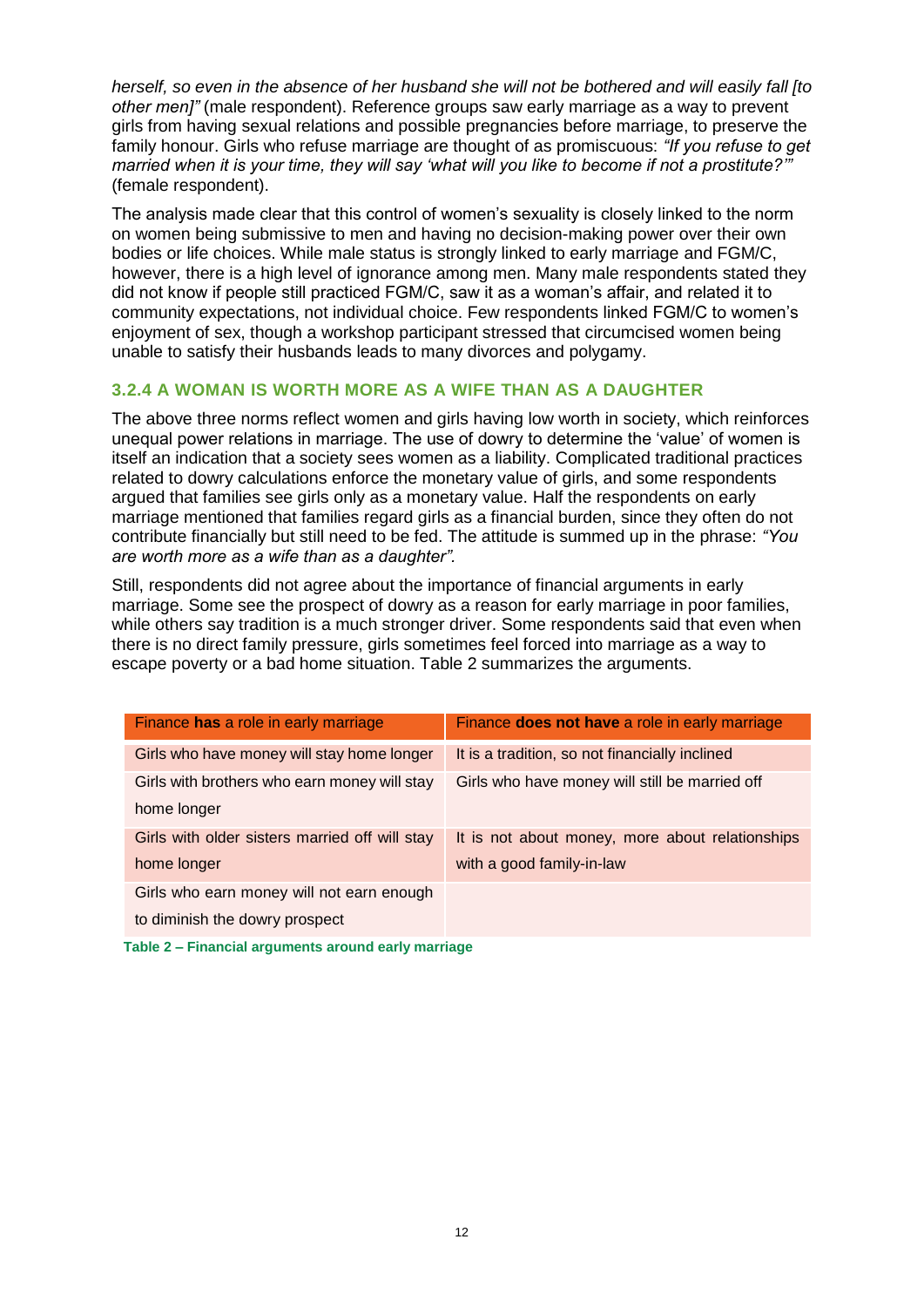*herself, so even in the absence of her husband she will not be bothered and will easily fall [to other men]"* (male respondent). Reference groups saw early marriage as a way to prevent girls from having sexual relations and possible pregnancies before marriage, to preserve the family honour. Girls who refuse marriage are thought of as promiscuous: *"If you refuse to get married when it is your time, they will say 'what will you like to become if not a prostitute?'"* (female respondent).

The analysis made clear that this control of women's sexuality is closely linked to the norm on women being submissive to men and having no decision-making power over their own bodies or life choices. While male status is strongly linked to early marriage and FGM/C, however, there is a high level of ignorance among men. Many male respondents stated they did not know if people still practiced FGM/C, saw it as a woman's affair, and related it to community expectations, not individual choice. Few respondents linked FGM/C to women's enjoyment of sex, though a workshop participant stressed that circumcised women being unable to satisfy their husbands leads to many divorces and polygamy.

#### **3.2.4 A WOMAN IS WORTH MORE AS A WIFE THAN AS A DAUGHTER**

The above three norms reflect women and girls having low worth in society, which reinforces unequal power relations in marriage. The use of dowry to determine the 'value' of women is itself an indication that a society sees women as a liability. Complicated traditional practices related to dowry calculations enforce the monetary value of girls, and some respondents argued that families see girls only as a monetary value. Half the respondents on early marriage mentioned that families regard girls as a financial burden, since they often do not contribute financially but still need to be fed. The attitude is summed up in the phrase: *"You are worth more as a wife than as a daughter".* 

Still, respondents did not agree about the importance of financial arguments in early marriage. Some see the prospect of dowry as a reason for early marriage in poor families, while others say tradition is a much stronger driver. Some respondents said that even when there is no direct family pressure, girls sometimes feel forced into marriage as a way to escape poverty or a bad home situation. Table 2 summarizes the arguments.

| Finance has a role in early marriage           | Finance does not have a role in early marriage  |
|------------------------------------------------|-------------------------------------------------|
| Girls who have money will stay home longer     | It is a tradition, so not financially inclined  |
| Girls with brothers who earn money will stay   | Girls who have money will still be married off  |
| home longer                                    |                                                 |
| Girls with older sisters married off will stay | It is not about money, more about relationships |
| home longer                                    | with a good family-in-law                       |
| Girls who earn money will not earn enough      |                                                 |
| to diminish the dowry prospect                 |                                                 |

**Table 2 – Financial arguments around early marriage**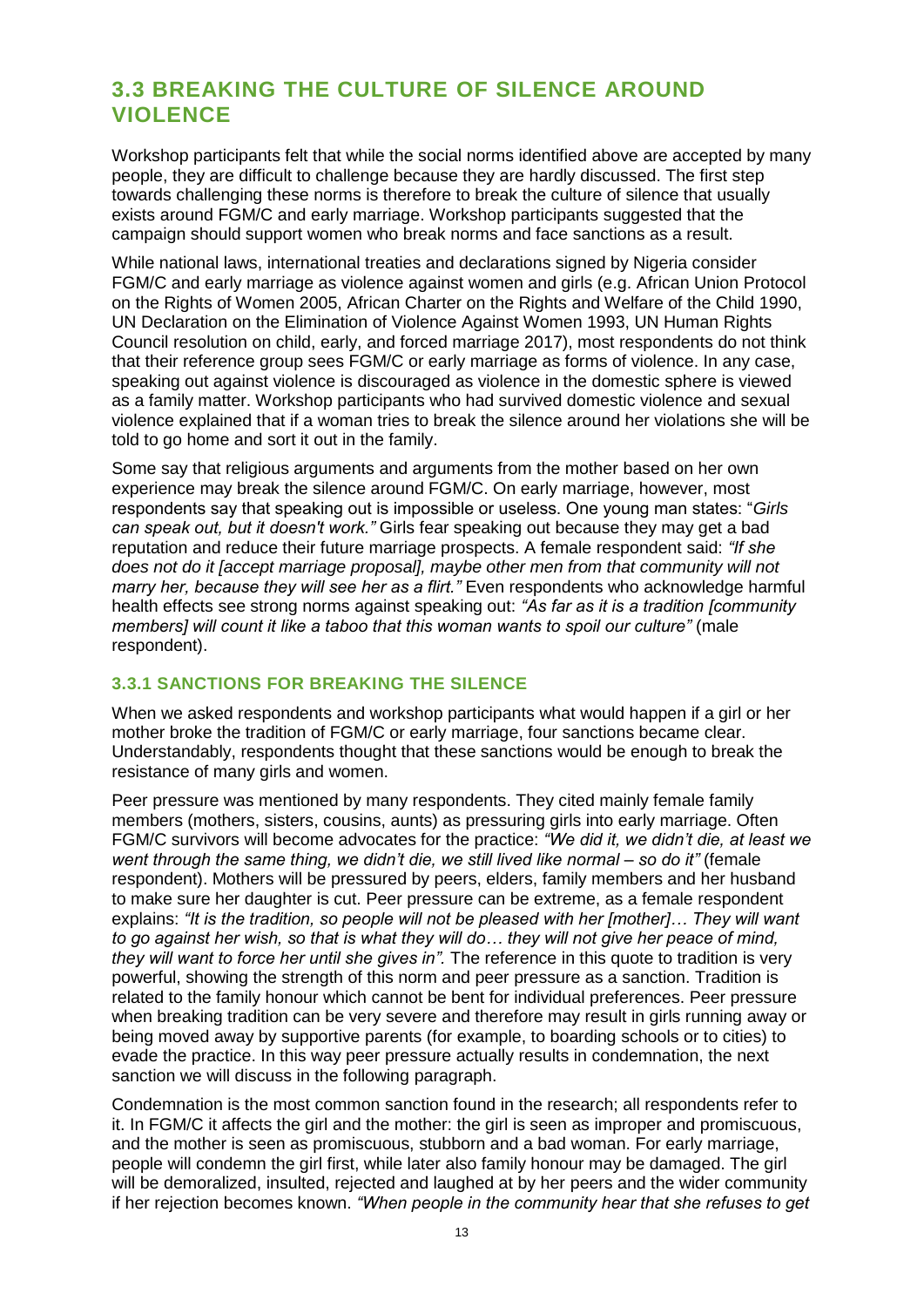#### <span id="page-12-0"></span>**3.3 BREAKING THE CULTURE OF SILENCE AROUND VIOLENCE**

Workshop participants felt that while the social norms identified above are accepted by many people, they are difficult to challenge because they are hardly discussed. The first step towards challenging these norms is therefore to break the culture of silence that usually exists around FGM/C and early marriage. Workshop participants suggested that the campaign should support women who break norms and face sanctions as a result.

While national laws, international treaties and declarations signed by Nigeria consider FGM/C and early marriage as violence against women and girls (e.g. African Union Protocol on the Rights of Women 2005, African Charter on the Rights and Welfare of the Child 1990, UN Declaration on the Elimination of Violence Against Women 1993, UN Human Rights Council resolution on child, early, and forced marriage 2017), most respondents do not think that their reference group sees FGM/C or early marriage as forms of violence. In any case, speaking out against violence is discouraged as violence in the domestic sphere is viewed as a family matter. Workshop participants who had survived domestic violence and sexual violence explained that if a woman tries to break the silence around her violations she will be told to go home and sort it out in the family.

Some say that religious arguments and arguments from the mother based on her own experience may break the silence around FGM/C. On early marriage, however, most respondents say that speaking out is impossible or useless. One young man states: "*Girls can speak out, but it doesn't work."* Girls fear speaking out because they may get a bad reputation and reduce their future marriage prospects. A female respondent said: *"If she does not do it [accept marriage proposal], maybe other men from that community will not marry her, because they will see her as a flirt."* Even respondents who acknowledge harmful health effects see strong norms against speaking out: *"As far as it is a tradition [community members] will count it like a taboo that this woman wants to spoil our culture"* (male respondent).

#### **3.3.1 SANCTIONS FOR BREAKING THE SILENCE**

When we asked respondents and workshop participants what would happen if a girl or her mother broke the tradition of FGM/C or early marriage, four sanctions became clear. Understandably, respondents thought that these sanctions would be enough to break the resistance of many girls and women.

Peer pressure was mentioned by many respondents. They cited mainly female family members (mothers, sisters, cousins, aunts) as pressuring girls into early marriage. Often FGM/C survivors will become advocates for the practice: *"We did it, we didn't die, at least we went through the same thing, we didn't die, we still lived like normal – so do it"* (female respondent). Mothers will be pressured by peers, elders, family members and her husband to make sure her daughter is cut. Peer pressure can be extreme, as a female respondent explains: *"It is the tradition, so people will not be pleased with her [mother]… They will want to go against her wish, so that is what they will do… they will not give her peace of mind, they will want to force her until she gives in".* The reference in this quote to tradition is very powerful, showing the strength of this norm and peer pressure as a sanction. Tradition is related to the family honour which cannot be bent for individual preferences. Peer pressure when breaking tradition can be very severe and therefore may result in girls running away or being moved away by supportive parents (for example, to boarding schools or to cities) to evade the practice. In this way peer pressure actually results in condemnation, the next sanction we will discuss in the following paragraph.

Condemnation is the most common sanction found in the research; all respondents refer to it. In FGM/C it affects the girl and the mother: the girl is seen as improper and promiscuous, and the mother is seen as promiscuous, stubborn and a bad woman. For early marriage, people will condemn the girl first, while later also family honour may be damaged. The girl will be demoralized, insulted, rejected and laughed at by her peers and the wider community if her rejection becomes known. *"When people in the community hear that she refuses to get*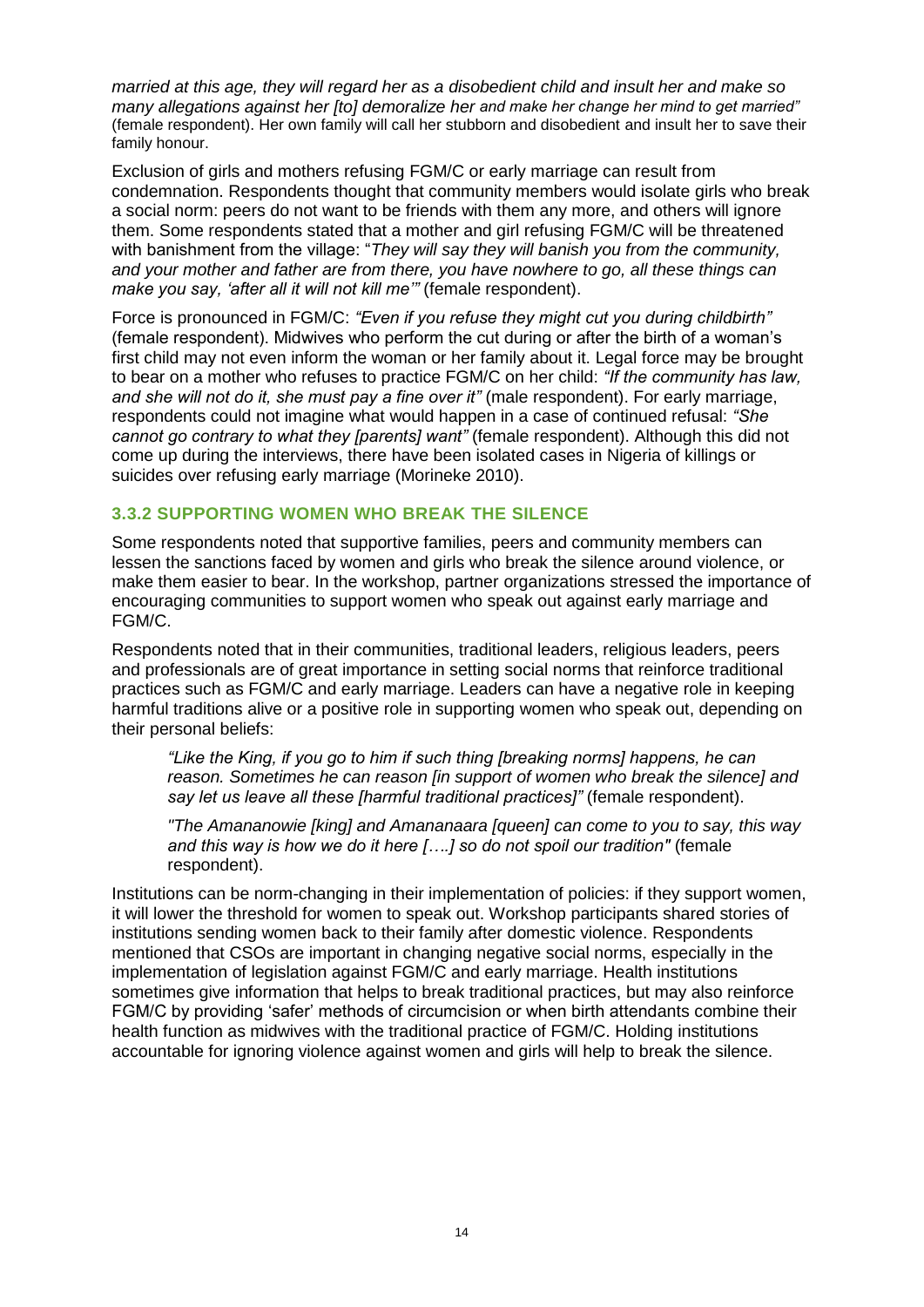*married at this age, they will regard her as a disobedient child and insult her and make so many allegations against her [to] demoralize her and make her change her mind to get married"* (female respondent). Her own family will call her stubborn and disobedient and insult her to save their family honour.

Exclusion of girls and mothers refusing FGM/C or early marriage can result from condemnation. Respondents thought that community members would isolate girls who break a social norm: peers do not want to be friends with them any more, and others will ignore them. Some respondents stated that a mother and girl refusing FGM/C will be threatened with banishment from the village: "*They will say they will banish you from the community, and your mother and father are from there, you have nowhere to go, all these things can make you say, 'after all it will not kill me'"* (female respondent).

Force is pronounced in FGM/C: *"Even if you refuse they might cut you during childbirth"* (female respondent). Midwives who perform the cut during or after the birth of a woman's first child may not even inform the woman or her family about it. Legal force may be brought to bear on a mother who refuses to practice FGM/C on her child: *"If the community has law, and she will not do it, she must pay a fine over it"* (male respondent). For early marriage, respondents could not imagine what would happen in a case of continued refusal: *"She cannot go contrary to what they [parents] want"* (female respondent). Although this did not come up during the interviews, there have been isolated cases in Nigeria of killings or suicides over refusing early marriage (Morineke 2010).

#### **3.3.2 SUPPORTING WOMEN WHO BREAK THE SILENCE**

Some respondents noted that supportive families, peers and community members can lessen the sanctions faced by women and girls who break the silence around violence, or make them easier to bear. In the workshop, partner organizations stressed the importance of encouraging communities to support women who speak out against early marriage and FGM/C.

Respondents noted that in their communities, traditional leaders, religious leaders, peers and professionals are of great importance in setting social norms that reinforce traditional practices such as FGM/C and early marriage. Leaders can have a negative role in keeping harmful traditions alive or a positive role in supporting women who speak out, depending on their personal beliefs:

*"Like the King, if you go to him if such thing [breaking norms] happens, he can reason. Sometimes he can reason [in support of women who break the silence] and say let us leave all these [harmful traditional practices]"* (female respondent).

*"The Amananowie [king] and Amananaara [queen] can come to you to say, this way and this way is how we do it here [….] so do not spoil our tradition"* (female respondent).

Institutions can be norm-changing in their implementation of policies: if they support women, it will lower the threshold for women to speak out. Workshop participants shared stories of institutions sending women back to their family after domestic violence. Respondents mentioned that CSOs are important in changing negative social norms, especially in the implementation of legislation against FGM/C and early marriage. Health institutions sometimes give information that helps to break traditional practices, but may also reinforce FGM/C by providing 'safer' methods of circumcision or when birth attendants combine their health function as midwives with the traditional practice of FGM/C. Holding institutions accountable for ignoring violence against women and girls will help to break the silence.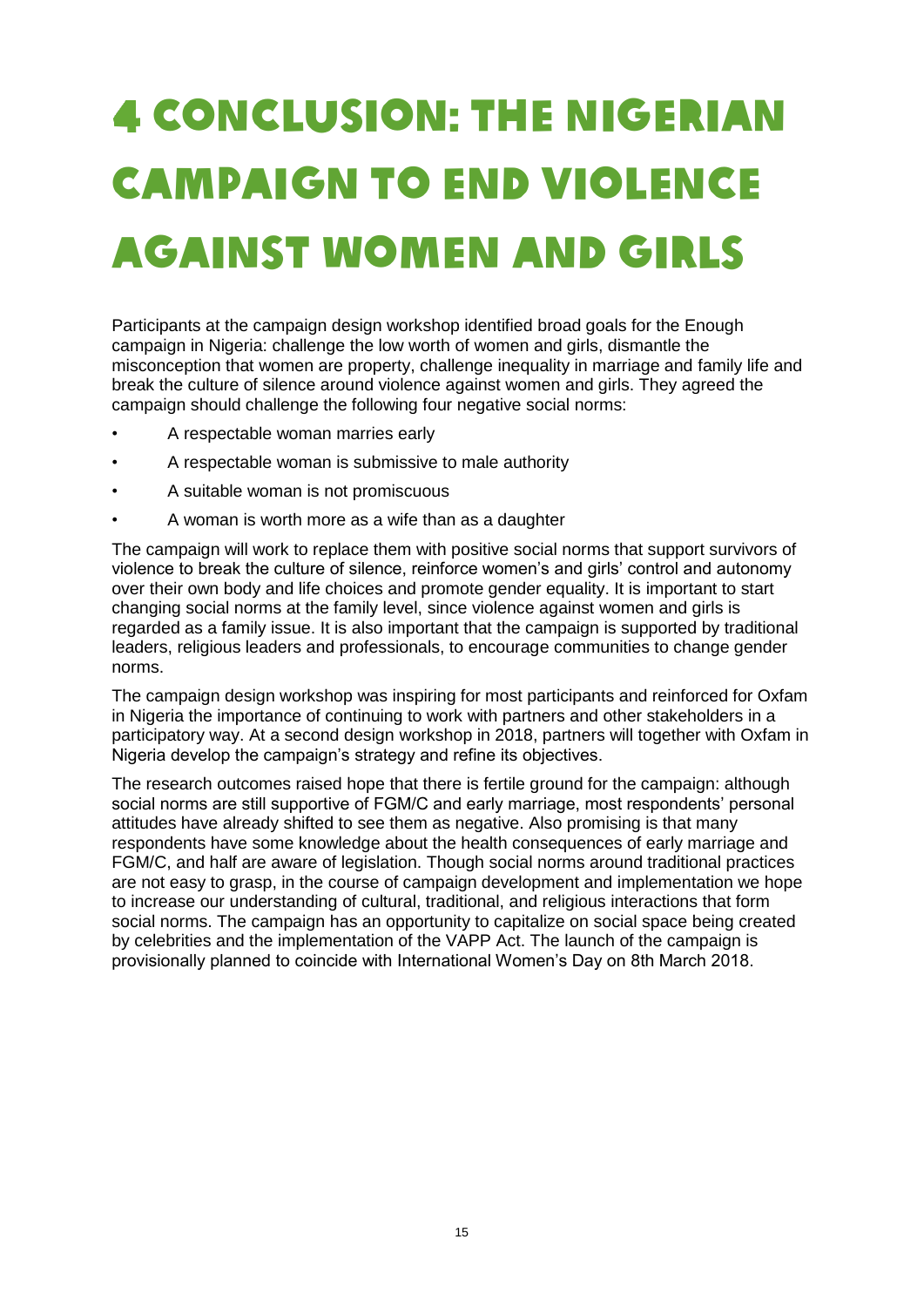## <span id="page-14-0"></span>CONCLUSION: THE NIGERIAN CAMPAIGN TO END VIOLENCE AGAINST WOMEN AND GIRLS

Participants at the campaign design workshop identified broad goals for the Enough campaign in Nigeria: challenge the low worth of women and girls, dismantle the misconception that women are property, challenge inequality in marriage and family life and break the culture of silence around violence against women and girls. They agreed the campaign should challenge the following four negative social norms:

- A respectable woman marries early
- A respectable woman is submissive to male authority
- A suitable woman is not promiscuous
- A woman is worth more as a wife than as a daughter

The campaign will work to replace them with positive social norms that support survivors of violence to break the culture of silence, reinforce women's and girls' control and autonomy over their own body and life choices and promote gender equality. It is important to start changing social norms at the family level, since violence against women and girls is regarded as a family issue. It is also important that the campaign is supported by traditional leaders, religious leaders and professionals, to encourage communities to change gender norms.

The campaign design workshop was inspiring for most participants and reinforced for Oxfam in Nigeria the importance of continuing to work with partners and other stakeholders in a participatory way. At a second design workshop in 2018, partners will together with Oxfam in Nigeria develop the campaign's strategy and refine its objectives.

The research outcomes raised hope that there is fertile ground for the campaign: although social norms are still supportive of FGM/C and early marriage, most respondents' personal attitudes have already shifted to see them as negative. Also promising is that many respondents have some knowledge about the health consequences of early marriage and FGM/C, and half are aware of legislation. Though social norms around traditional practices are not easy to grasp, in the course of campaign development and implementation we hope to increase our understanding of cultural, traditional, and religious interactions that form social norms. The campaign has an opportunity to capitalize on social space being created by celebrities and the implementation of the VAPP Act. The launch of the campaign is provisionally planned to coincide with International Women's Day on 8th March 2018.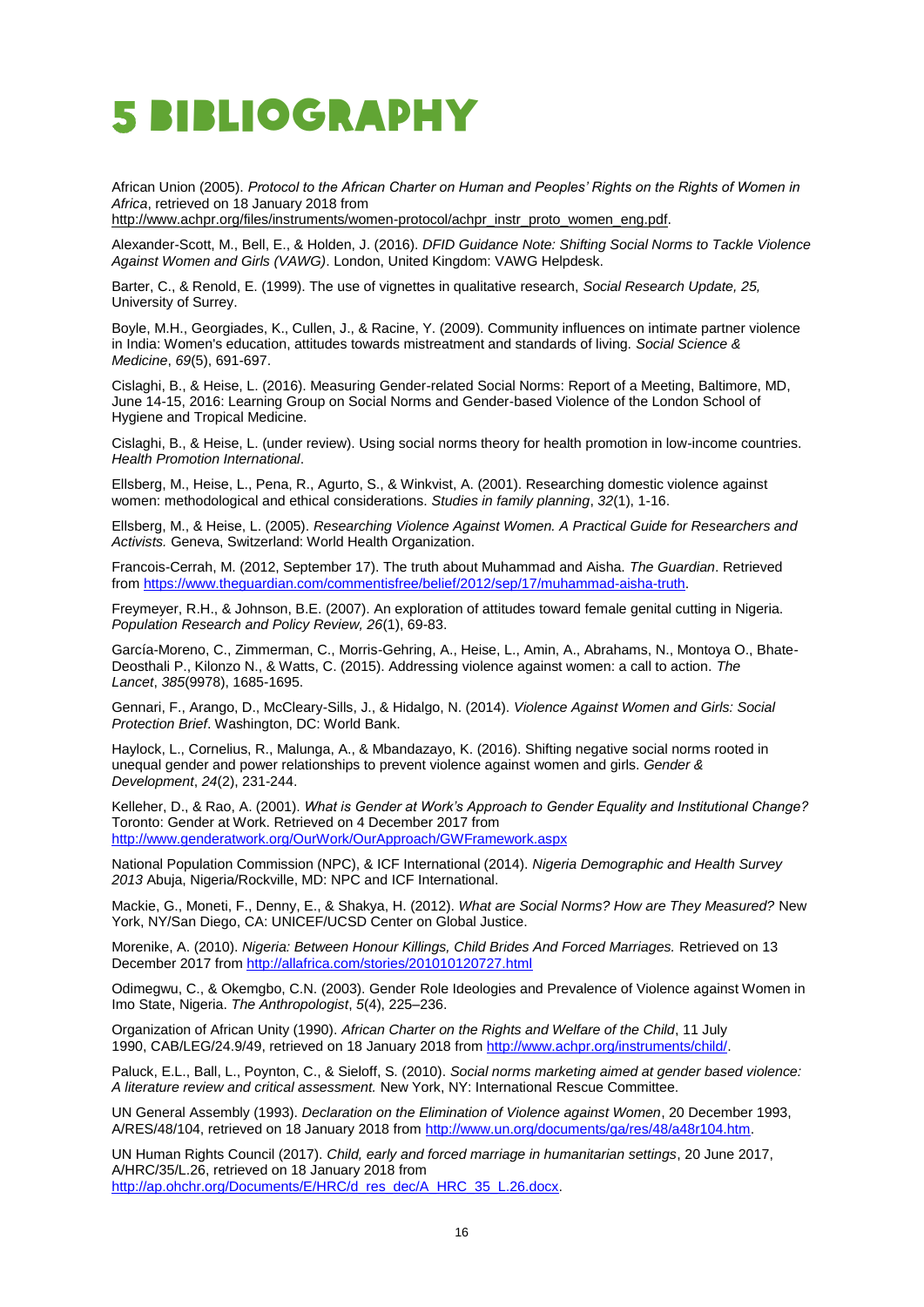### <span id="page-15-0"></span>BIBLIOGRAPHY

African Union (2005). *Protocol to the African Charter on Human and Peoples' Rights on the Rights of Women in Africa*, retrieved on 18 January 2018 from

[http://www.achpr.org/files/instruments/women-protocol/achpr\\_instr\\_proto\\_women\\_eng.pdf.](http://www.achpr.org/files/instruments/women-protocol/achpr_instr_proto_women_eng.pdf)

Alexander-Scott, M., Bell, E., & Holden, J. (2016). *DFID Guidance Note: Shifting Social Norms to Tackle Violence Against Women and Girls (VAWG)*. London, United Kingdom: VAWG Helpdesk.

Barter, C., & Renold, E. (1999). The use of vignettes in qualitative research, *Social Research Update, 25,* University of Surrey.

Boyle, M.H., Georgiades, K., Cullen, J., & Racine, Y. (2009). Community influences on intimate partner violence in India: Women's education, attitudes towards mistreatment and standards of living. *Social Science & Medicine*, *69*(5), 691-697.

Cislaghi, B., & Heise, L. (2016). Measuring Gender-related Social Norms: Report of a Meeting, Baltimore, MD, June 14-15, 2016: Learning Group on Social Norms and Gender-based Violence of the London School of Hygiene and Tropical Medicine.

Cislaghi, B., & Heise, L. (under review). Using social norms theory for health promotion in low-income countries. *Health Promotion International*.

Ellsberg, M., Heise, L., Pena, R., Agurto, S., & Winkvist, A. (2001). Researching domestic violence against women: methodological and ethical considerations. *Studies in family planning*, *32*(1), 1-16.

Ellsberg, M., & Heise, L. (2005). *Researching Violence Against Women. A Practical Guide for Researchers and Activists.* Geneva, Switzerland: World Health Organization.

Francois-Cerrah, M. (2012, September 17). The truth about Muhammad and Aisha. *The Guardian*. Retrieved fro[m https://www.theguardian.com/commentisfree/belief/2012/sep/17/muhammad-aisha-truth.](https://www.theguardian.com/commentisfree/belief/2012/sep/17/muhammad-aisha-truth)

Freymeyer, R.H., & Johnson, B.E. (2007). An exploration of attitudes toward female genital cutting in Nigeria. *Population Research and Policy Review, 26*(1), 69-83.

García-Moreno, C., Zimmerman, C., Morris-Gehring, A., Heise, L., Amin, A., Abrahams, N., Montoya O., Bhate-Deosthali P., Kilonzo N., & Watts, C. (2015). Addressing violence against women: a call to action. *The Lancet*, *385*(9978), 1685-1695.

Gennari, F., Arango, D., McCleary-Sills, J., & Hidalgo, N. (2014). *Violence Against Women and Girls: Social Protection Brief*. Washington, DC: World Bank.

Haylock, L., Cornelius, R., Malunga, A., & Mbandazayo, K. (2016). Shifting negative social norms rooted in unequal gender and power relationships to prevent violence against women and girls. *Gender & Development*, *24*(2), 231-244.

Kelleher, D., & Rao, A. (2001). *What is Gender at Work's Approach to Gender Equality and Institutional Change?* Toronto: Gender at Work. Retrieved on 4 December 2017 from <http://www.genderatwork.org/OurWork/OurApproach/GWFramework.aspx>

National Population Commission (NPC), & ICF International (2014). *Nigeria Demographic and Health Survey 2013* Abuja, Nigeria/Rockville, MD: NPC and ICF International.

Mackie, G., Moneti, F., Denny, E., & Shakya, H. (2012). *What are Social Norms? How are They Measured?* New York, NY/San Diego, CA: UNICEF/UCSD Center on Global Justice.

Morenike, A. (2010). *Nigeria: Between Honour Killings, Child Brides And Forced Marriages.* Retrieved on 13 December 2017 from<http://allafrica.com/stories/201010120727.html>

Odimegwu, C., & Okemgbo, C.N. (2003). Gender Role Ideologies and Prevalence of Violence against Women in Imo State, Nigeria. *The Anthropologist*, *5*(4), 225–236.

Organization of African Unity (1990). *African Charter on the Rights and Welfare of the Child*, 11 July 1990, CAB/LEG/24.9/49, retrieved on 18 January 2018 fro[m http://www.achpr.org/instruments/child/.](http://www.achpr.org/instruments/child/)

Paluck, E.L., Ball, L., Poynton, C., & Sieloff, S. (2010). *Social norms marketing aimed at gender based violence: A literature review and critical assessment.* New York, NY: International Rescue Committee.

UN General Assembly (1993). *Declaration on the Elimination of Violence against Women*, 20 December 1993, A/RES/48/104, retrieved on 18 January 2018 from [http://www.un.org/documents/ga/res/48/a48r104.htm.](http://www.un.org/documents/ga/res/48/a48r104.htm)

UN Human Rights Council (2017). *Child, early and forced marriage in humanitarian settings*, 20 June 2017, A/HRC/35/L.26, retrieved on 18 January 2018 from [http://ap.ohchr.org/Documents/E/HRC/d\\_res\\_dec/A\\_HRC\\_35\\_L.26.docx.](http://ap.ohchr.org/Documents/E/HRC/d_res_dec/A_HRC_35_L.26.docx)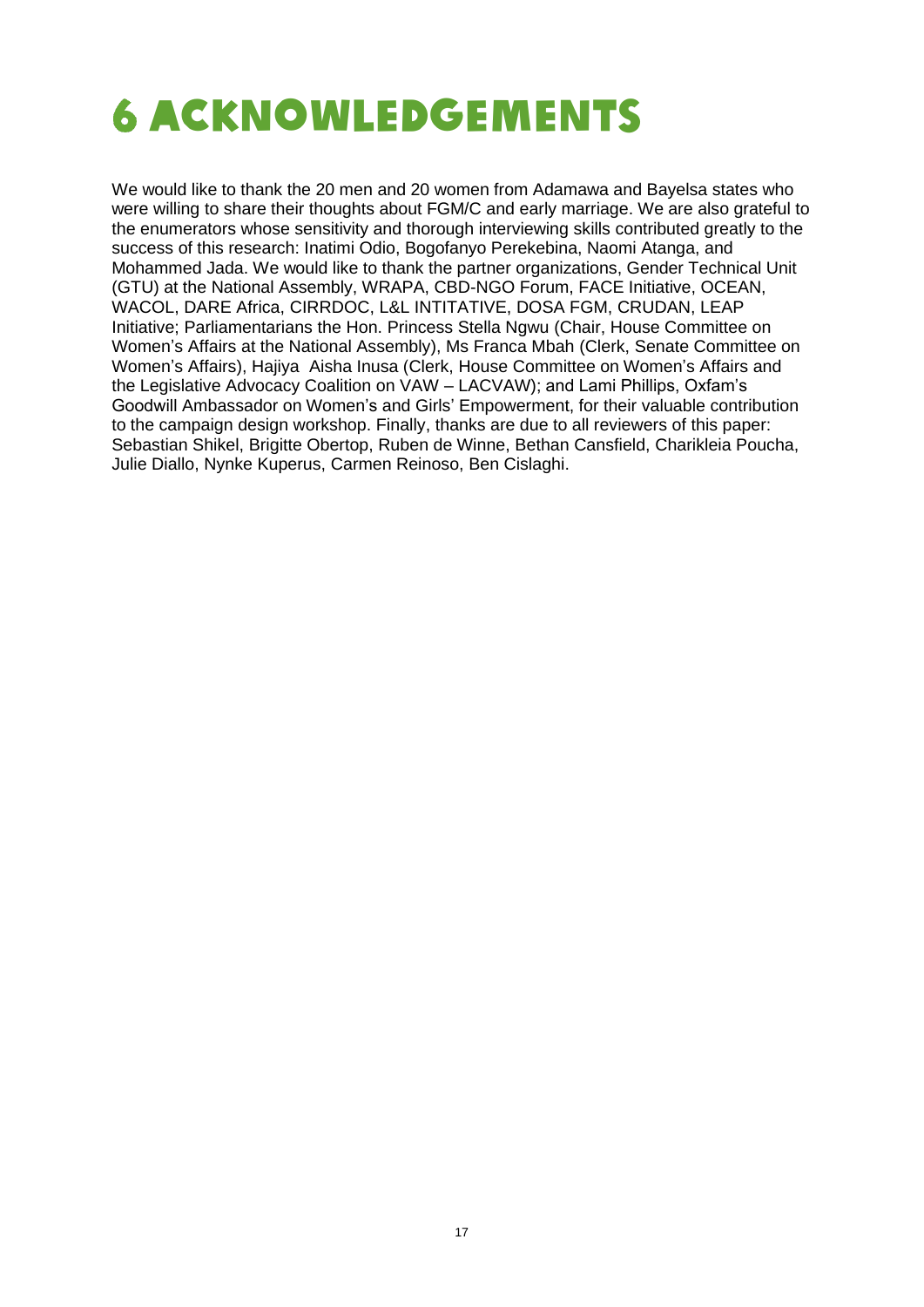<span id="page-16-0"></span>

We would like to thank the 20 men and 20 women from Adamawa and Bayelsa states who were willing to share their thoughts about FGM/C and early marriage. We are also grateful to the enumerators whose sensitivity and thorough interviewing skills contributed greatly to the success of this research: Inatimi Odio, Bogofanyo Perekebina, Naomi Atanga, and Mohammed Jada. We would like to thank the partner organizations, Gender Technical Unit (GTU) at the National Assembly, WRAPA, CBD-NGO Forum, FACE Initiative, OCEAN, WACOL, DARE Africa, CIRRDOC, L&L INTITATIVE, DOSA FGM, CRUDAN, LEAP Initiative; Parliamentarians the Hon. Princess Stella Ngwu (Chair, House Committee on Women's Affairs at the National Assembly), Ms Franca Mbah (Clerk, Senate Committee on Women's Affairs), Hajiya Aisha Inusa (Clerk, House Committee on Women's Affairs and the Legislative Advocacy Coalition on VAW – LACVAW); and Lami Phillips, Oxfam's Goodwill Ambassador on Women's and Girls' Empowerment, for their valuable contribution to the campaign design workshop. Finally, thanks are due to all reviewers of this paper: Sebastian Shikel, Brigitte Obertop, Ruben de Winne, Bethan Cansfield, Charikleia Poucha, Julie Diallo, Nynke Kuperus, Carmen Reinoso, Ben Cislaghi.